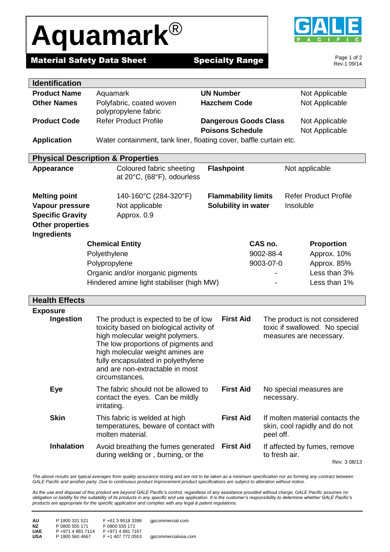## **Aquamark**®



**Material Safety Data Sheet Specialty Range** 

Page 1 of 2 Rev.1 09/14

| <b>Identification</b>                                                  |                                                                            |                                                            |                                 |                   |  |
|------------------------------------------------------------------------|----------------------------------------------------------------------------|------------------------------------------------------------|---------------------------------|-------------------|--|
| <b>Product Name</b>                                                    | Aquamark                                                                   | <b>UN Number</b>                                           |                                 | Not Applicable    |  |
| <b>Other Names</b>                                                     | Polyfabric, coated woven                                                   | <b>Hazchem Code</b>                                        |                                 | Not Applicable    |  |
|                                                                        | polypropylene fabric                                                       |                                                            |                                 |                   |  |
| <b>Product Code</b>                                                    | <b>Refer Product Profile</b>                                               | <b>Dangerous Goods Class</b>                               |                                 | Not Applicable    |  |
|                                                                        |                                                                            | <b>Poisons Schedule</b>                                    |                                 | Not Applicable    |  |
| <b>Application</b>                                                     | Water containment, tank liner, floating cover, baffle curtain etc.         |                                                            |                                 |                   |  |
|                                                                        | <b>Physical Description &amp; Properties</b>                               |                                                            |                                 |                   |  |
| Appearance                                                             | Coloured fabric sheeting                                                   | <b>Flashpoint</b><br>Not applicable                        |                                 |                   |  |
|                                                                        | at 20°C, (68°F), odourless                                                 |                                                            |                                 |                   |  |
|                                                                        |                                                                            |                                                            |                                 |                   |  |
| <b>Melting point</b>                                                   | 140-160°C (284-320°F)                                                      | <b>Refer Product Profile</b><br><b>Flammability limits</b> |                                 |                   |  |
| Vapour pressure                                                        | Not applicable                                                             | Solubility in water<br>Insoluble                           |                                 |                   |  |
| <b>Specific Gravity</b>                                                | Approx. 0.9                                                                |                                                            |                                 |                   |  |
| <b>Other properties</b>                                                |                                                                            |                                                            |                                 |                   |  |
| Ingredients                                                            |                                                                            |                                                            |                                 |                   |  |
|                                                                        | <b>Chemical Entity</b>                                                     |                                                            | CAS no.                         | <b>Proportion</b> |  |
|                                                                        | Polyethylene                                                               |                                                            | 9002-88-4                       | Approx. 10%       |  |
|                                                                        | Polypropylene                                                              |                                                            | 9003-07-0                       | Approx. 85%       |  |
| Organic and/or inorganic pigments                                      |                                                                            |                                                            |                                 | Less than 3%      |  |
|                                                                        | Hindered amine light stabiliser (high MW)                                  |                                                            |                                 | Less than 1%      |  |
| <b>Health Effects</b>                                                  |                                                                            |                                                            |                                 |                   |  |
| <b>Exposure</b>                                                        |                                                                            |                                                            |                                 |                   |  |
| Ingestion                                                              | The product is expected to be of low                                       | <b>First Aid</b>                                           | The product is not considered   |                   |  |
|                                                                        | toxicity based on biological activity of<br>toxic if swallowed. No special |                                                            |                                 |                   |  |
|                                                                        | high molecular weight polymers.<br>measures are necessary.                 |                                                            |                                 |                   |  |
|                                                                        | The low proportions of pigments and                                        |                                                            |                                 |                   |  |
| high molecular weight amines are<br>fully encapsulated in polyethylene |                                                                            |                                                            |                                 |                   |  |
| and are non-extractable in most                                        |                                                                            |                                                            |                                 |                   |  |
|                                                                        | circumstances.                                                             |                                                            |                                 |                   |  |
| <b>Eye</b>                                                             | The fabric should not be allowed to                                        | <b>First Aid</b>                                           | No special measures are         |                   |  |
|                                                                        | contact the eyes. Can be mildly                                            |                                                            | necessary.                      |                   |  |
|                                                                        | irritating.                                                                |                                                            |                                 |                   |  |
| <b>Skin</b>                                                            | This fabric is welded at high                                              | <b>First Aid</b>                                           | If molten material contacts the |                   |  |
|                                                                        | temperatures, beware of contact with                                       |                                                            | skin, cool rapidly and do not   |                   |  |
|                                                                        | molten material.                                                           |                                                            | peel off.                       |                   |  |
| <b>Inhalation</b>                                                      | Avoid breathing the fumes generated                                        | <b>First Aid</b>                                           | If affected by fumes, remove    |                   |  |
|                                                                        | during welding or, burning, or the                                         |                                                            | to fresh air.                   |                   |  |

The above results are typical averages from quality assurance testing and are not to be taken as a minimum specification nor as forming any contract between *GALE Pacific and another party. Due to continuous product improvement product specifications are subject to alteration without notice.*

*As the use and disposal of this product are beyond GALE Pacific's control, regardless of any assistance provided without charge, GALE Pacific assumes no obligation or liability for the suitability of its products in any specific end use application. It is the customer's responsibility to determine whether GALE Pacific's products are appropriate for the specific application and complies with any legal & patent regulations.*